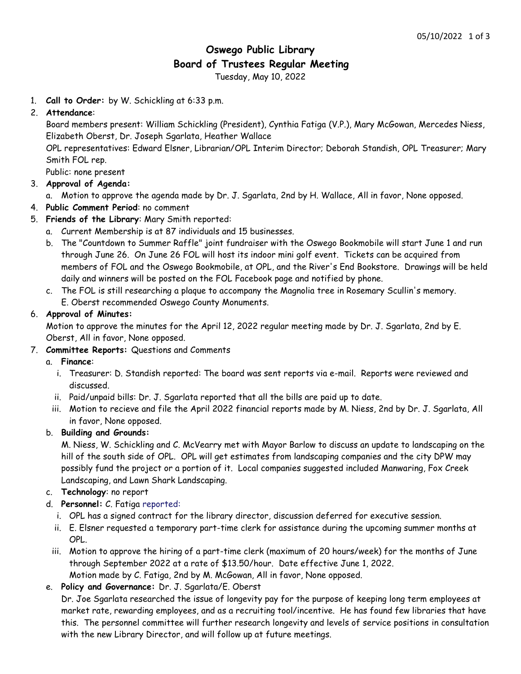# **Oswego Public Library Board of Trustees Regular Meeting**

Tuesday, May 10, 2022

1. **Call to Order:** by W. Schickling at 6:33 p.m.

# 2. **Attendance**:

Board members present: William Schickling (President), Cynthia Fatiga (V.P.), Mary McGowan, Mercedes Niess, Elizabeth Oberst, Dr. Joseph Sgarlata, Heather Wallace

OPL representatives: Edward Elsner, Librarian/OPL Interim Director; Deborah Standish, OPL Treasurer; Mary Smith FOL rep.

Public: none present

# 3. **Approval of Agenda:**

- a. Motion to approve the agenda made by Dr. J. Sgarlata, 2nd by H. Wallace, All in favor, None opposed.
- 4. **Public Comment Period**: no comment
- 5. **Friends of the Library**: Mary Smith reported:
	- a. Current Membership is at 87 individuals and 15 businesses.
	- b. The "Countdown to Summer Raffle" joint fundraiser with the Oswego Bookmobile will start June 1 and run through June 26. On June 26 FOL will host its indoor mini golf event. Tickets can be acquired from members of FOL and the Oswego Bookmobile, at OPL, and the River's End Bookstore. Drawings will be held daily and winners will be posted on the FOL Facebook page and notified by phone.
	- c. The FOL is still researching a plaque to accompany the Magnolia tree in Rosemary Scullin's memory. E. Oberst recommended Oswego County Monuments.

# 6. **Approval of Minutes:**

Motion to approve the minutes for the April 12, 2022 regular meeting made by Dr. J. Sgarlata, 2nd by E. Oberst, All in favor, None opposed.

7. **Committee Reports:** Questions and Comments

# a. **Finance**:

- i. Treasurer: D. Standish reported: The board was sent reports via e-mail. Reports were reviewed and discussed.
- ii. Paid/unpaid bills: Dr. J. Sgarlata reported that all the bills are paid up to date.
- iii. Motion to recieve and file the April 2022 financial reports made by M. Niess, 2nd by Dr. J. Sgarlata, All in favor, None opposed.

#### b. **Building and Grounds:**

M. Niess, W. Schickling and C. McVearry met with Mayor Barlow to discuss an update to landscaping on the hill of the south side of OPL. OPL will get estimates from landscaping companies and the city DPW may possibly fund the project or a portion of it. Local companies suggested included Manwaring, Fox Creek Landscaping, and Lawn Shark Landscaping.

- c. **Technology**: no report
- d. **Personnel:** C. Fatiga reported:
	- i. OPL has a signed contract for the library director, discussion deferred for executive session.
	- ii. E. Elsner requested a temporary part-time clerk for assistance during the upcoming summer months at OPL.
	- iii. Motion to approve the hiring of a part-time clerk (maximum of 20 hours/week) for the months of June through September 2022 at a rate of \$13.50/hour. Date effective June 1, 2022.
- Motion made by C. Fatiga, 2nd by M. McGowan, All in favor, None opposed.

# e. **Policy and Governance:** Dr. J. Sgarlata/E. Oberst

Dr. Joe Sgarlata researched the issue of longevity pay for the purpose of keeping long term employees at market rate, rewarding employees, and as a recruiting tool/incentive. He has found few libraries that have this. The personnel committee will further research longevity and levels of service positions in consultation with the new Library Director, and will follow up at future meetings.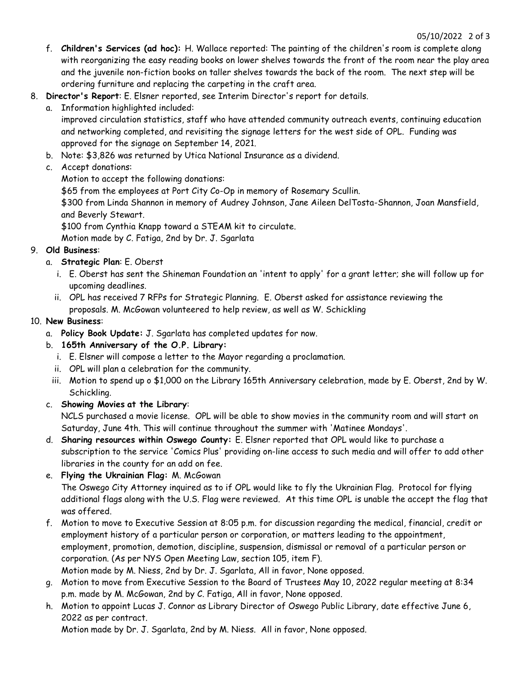- f. **Children's Services (ad hoc):** H. Wallace reported: The painting of the children's room is complete along with reorganizing the easy reading books on lower shelves towards the front of the room near the play area and the juvenile non-fiction books on taller shelves towards the back of the room. The next step will be ordering furniture and replacing the carpeting in the craft area.
- 8. **Director's Report**: E. Elsner reported, see Interim Director's report for details.
	- a. Information highlighted included:

improved circulation statistics, staff who have attended community outreach events, continuing education and networking completed, and revisiting the signage letters for the west side of OPL. Funding was approved for the signage on September 14, 2021.

- b. Note: \$3,826 was returned by Utica National Insurance as a dividend.
- c. Accept donations:

Motion to accept the following donations:

\$65 from the employees at Port City Co-Op in memory of Rosemary Scullin.

\$300 from Linda Shannon in memory of Audrey Johnson, Jane Aileen DelTosta-Shannon, Joan Mansfield, and Beverly Stewart.

\$100 from Cynthia Knapp toward a STEAM kit to circulate.

Motion made by C. Fatiga, 2nd by Dr. J. Sgarlata

- 9. **Old Business**:
	- a. **Strategic Plan**: E. Oberst
		- i. E. Oberst has sent the Shineman Foundation an 'intent to apply' for a grant letter; she will follow up for upcoming deadlines.
		- ii. OPL has received 7 RFPs for Strategic Planning. E. Oberst asked for assistance reviewing the

proposals. M. McGowan volunteered to help review, as well as W. Schickling

# 10. **New Business**:

- a. **Policy Book Update:** J. Sgarlata has completed updates for now.
- b. **165th Anniversary of the O.P. Library:**
	- i. E. Elsner will compose a letter to the Mayor regarding a proclamation.
	- ii. OPL will plan a celebration for the community.
	- iii. Motion to spend up o \$1,000 on the Library 165th Anniversary celebration, made by E. Oberst, 2nd by W. Schickling.

# c. **Showing Movies at the Library**:

NCLS purchased a movie license. OPL will be able to show movies in the community room and will start on Saturday, June 4th. This will continue throughout the summer with 'Matinee Mondays'.

- d. **Sharing resources within Oswego County:** E. Elsner reported that OPL would like to purchase a subscription to the service 'Comics Plus' providing on-line access to such media and will offer to add other libraries in the county for an add on fee.
- e. **Flying the Ukrainian Flag:** M. McGowan

The Oswego City Attorney inquired as to if OPL would like to fly the Ukrainian Flag. Protocol for flying additional flags along with the U.S. Flag were reviewed. At this time OPL is unable the accept the flag that was offered.

- f. Motion to move to Executive Session at 8:05 p.m. for discussion regarding the medical, financial, credit or employment history of a particular person or corporation, or matters leading to the appointment, employment, promotion, demotion, discipline, suspension, dismissal or removal of a particular person or corporation. (As per NYS Open Meeting Law, section 105, item F). Motion made by M. Niess, 2nd by Dr. J. Sgarlata, All in favor, None opposed.
- g. Motion to move from Executive Session to the Board of Trustees May 10, 2022 regular meeting at 8:34 p.m. made by M. McGowan, 2nd by C. Fatiga, All in favor, None opposed.
- h. Motion to appoint Lucas J. Connor as Library Director of Oswego Public Library, date effective June 6, 2022 as per contract.

Motion made by Dr. J. Sgarlata, 2nd by M. Niess. All in favor, None opposed.